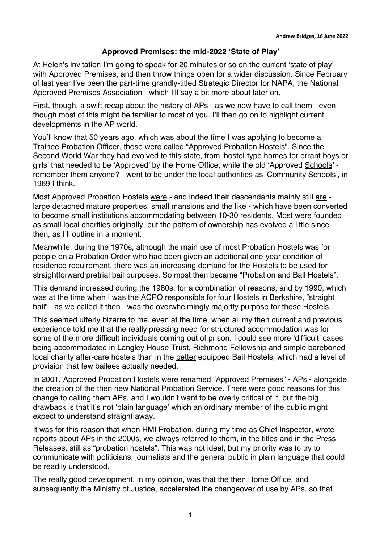## **Approved Premises: the mid-2022 'State of Play'**

At Helen's invitation I'm going to speak for 20 minutes or so on the current 'state of play' with Approved Premises, and then throw things open for a wider discussion. Since February of last year I've been the part-time grandly-titled Strategic Director for NAPA, the National Approved Premises Association - which I'll say a bit more about later on.

First, though, a swift recap about the history of APs - as we now have to call them - even though most of this might be familiar to most of you. I'll then go on to highlight current developments in the AP world.

You'll know that 50 years ago, which was about the time I was applying to become a Trainee Probation Officer, these were called "Approved Probation Hostels". Since the Second World War they had evolved to this state, from 'hostel-type homes for errant boys or girls' that needed to be 'Approved' by the Home Office, while the old 'Approved Schools' remember them anyone? - went to be under the local authorities as 'Community Schools', in 1969 I think.

Most Approved Probation Hostels were - and indeed their descendants mainly still are large detached mature properties, small mansions and the like - which have been converted to become small institutions accommodating between 10-30 residents. Most were founded as small local charities originally, but the pattern of ownership has evolved a little since then, as I'll outline in a moment.

Meanwhile, during the 1970s, although the main use of most Probation Hostels was for people on a Probation Order who had been given an additional one-year condition of residence requirement, there was an increasing demand for the Hostels to be used for straightforward pretrial bail purposes. So most then became "Probation and Bail Hostels".

This demand increased during the 1980s, for a combination of reasons, and by 1990, which was at the time when I was the ACPO responsible for four Hostels in Berkshire, "straight bail" - as we called it then - was the overwhelmingly majority purpose for these Hostels.

This seemed utterly bizarre to me, even at the time, when all my then current and previous experience told me that the really pressing need for structured accommodation was for some of the more difficult individuals coming out of prison. I could see more 'difficult' cases being accommodated in Langley House Trust, Richmond Fellowship and simple bareboned local charity after-care hostels than in the better equipped Bail Hostels, which had a level of provision that few bailees actually needed.

In 2001, Approved Probation Hostels were renamed "Approved Premises" - APs - alongside the creation of the then new National Probation Service. There were good reasons for this change to calling them APs, and I wouldn't want to be overly critical of it, but the big drawback is that it's not 'plain language' which an ordinary member of the public might expect to understand straight away.

It was for this reason that when HMI Probation, during my time as Chief Inspector, wrote reports about APs in the 2000s, we always referred to them, in the titles and in the Press Releases, still as "probation hostels". This was not ideal, but my priority was to try to communicate with politicians, journalists and the general public in plain language that could be readily understood.

The really good development, in my opinion, was that the then Home Office, and subsequently the Ministry of Justice, accelerated the changeover of use by APs, so that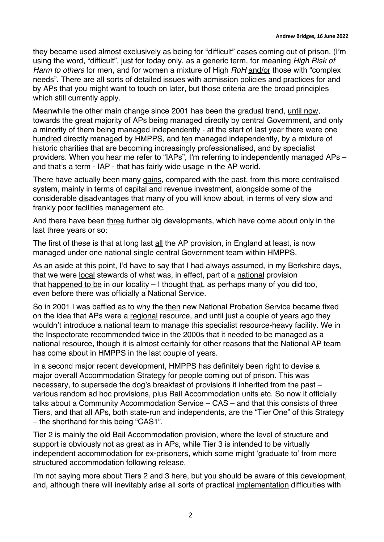they became used almost exclusively as being for "difficult" cases coming out of prison. (I'm using the word, "difficult", just for today only, as a generic term, for meaning *High Risk of Harm to others* for men, and for women a mixture of High *RoH* and/or those with "complex needs". There are all sorts of detailed issues with admission policies and practices for and by APs that you might want to touch on later, but those criteria are the broad principles which still currently apply.

Meanwhile the other main change since 2001 has been the gradual trend, until now, towards the great majority of APs being managed directly by central Government, and only a minority of them being managed independently - at the start of last year there were one hundred directly managed by HMPPS, and ten managed independently, by a mixture of historic charities that are becoming increasingly professionalised, and by specialist providers. When you hear me refer to "IAPs", I'm referring to independently managed APs – and that's a term - IAP - that has fairly wide usage in the AP world.

There have actually been many gains, compared with the past, from this more centralised system, mainly in terms of capital and revenue investment, alongside some of the considerable disadvantages that many of you will know about, in terms of very slow and frankly poor facilities management etc.

And there have been three further big developments, which have come about only in the last three years or so:

The first of these is that at long last all the AP provision, in England at least, is now managed under one national single central Government team within HMPPS.

As an aside at this point, I'd have to say that I had always assumed, in my Berkshire days, that we were local stewards of what was, in effect, part of a national provision that happened to be in our locality – I thought that, as perhaps many of you did too, even before there was officially a National Service.

So in 2001 I was baffled as to why the then new National Probation Service became fixed on the idea that APs were a regional resource, and until just a couple of years ago they wouldn't introduce a national team to manage this specialist resource-heavy facility. We in the Inspectorate recommended twice in the 2000s that it needed to be managed as a national resource, though it is almost certainly for other reasons that the National AP team has come about in HMPPS in the last couple of years.

In a second major recent development, HMPPS has definitely been right to devise a major overall Accommodation Strategy for people coming out of prison. This was necessary, to supersede the dog's breakfast of provisions it inherited from the past – various random ad hoc provisions, plus Bail Accommodation units etc. So now it officially talks about a Community Accommodation Service – CAS – and that this consists of three Tiers, and that all APs, both state-run and independents, are the "Tier One" of this Strategy – the shorthand for this being "CAS1".

Tier 2 is mainly the old Bail Accommodation provision, where the level of structure and support is obviously not as great as in APs, while Tier 3 is intended to be virtually independent accommodation for ex-prisoners, which some might 'graduate to' from more structured accommodation following release.

I'm not saying more about Tiers 2 and 3 here, but you should be aware of this development, and, although there will inevitably arise all sorts of practical implementation difficulties with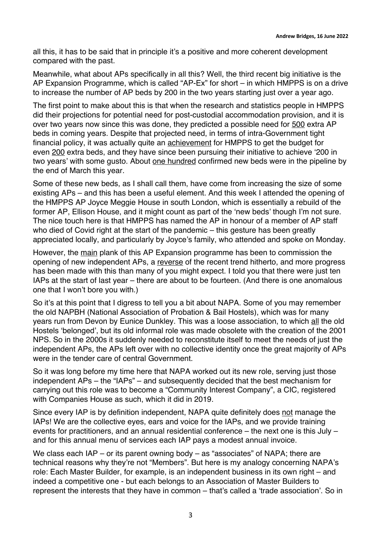all this, it has to be said that in principle it's a positive and more coherent development compared with the past.

Meanwhile, what about APs specifically in all this? Well, the third recent big initiative is the AP Expansion Programme, which is called "AP-Ex" for short – in which HMPPS is on a drive to increase the number of AP beds by 200 in the two years starting just over a year ago.

The first point to make about this is that when the research and statistics people in HMPPS did their projections for potential need for post-custodial accommodation provision, and it is over two years now since this was done, they predicted a possible need for 500 extra AP beds in coming years. Despite that projected need, in terms of intra-Government tight financial policy, it was actually quite an achievement for HMPPS to get the budget for even 200 extra beds, and they have since been pursuing their initiative to achieve '200 in two years' with some gusto. About one hundred confirmed new beds were in the pipeline by the end of March this year.

Some of these new beds, as I shall call them, have come from increasing the size of some existing APs – and this has been a useful element. And this week I attended the opening of the HMPPS AP Joyce Meggie House in south London, which is essentially a rebuild of the former AP, Ellison House, and it might count as part of the 'new beds' though I'm not sure. The nice touch here is that HMPPS has named the AP in honour of a member of AP staff who died of Covid right at the start of the pandemic – this gesture has been greatly appreciated locally, and particularly by Joyce's family, who attended and spoke on Monday.

However, the main plank of this AP Expansion programme has been to commission the opening of new independent APs, a reverse of the recent trend hitherto, and more progress has been made with this than many of you might expect. I told you that there were just ten IAPs at the start of last year – there are about to be fourteen. (And there is one anomalous one that I won't bore you with.)

So it's at this point that I digress to tell you a bit about NAPA. Some of you may remember the old NAPBH (National Association of Probation & Bail Hostels), which was for many years run from Devon by Eunice Dunkley. This was a loose association, to which all the old Hostels 'belonged', but its old informal role was made obsolete with the creation of the 2001 NPS. So in the 2000s it suddenly needed to reconstitute itself to meet the needs of just the independent APs, the APs left over with no collective identity once the great majority of APs were in the tender care of central Government.

So it was long before my time here that NAPA worked out its new role, serving just those independent APs – the "IAPs" – and subsequently decided that the best mechanism for carrying out this role was to become a "Community Interest Company", a CIC, registered with Companies House as such, which it did in 2019.

Since every IAP is by definition independent, NAPA quite definitely does not manage the IAPs! We are the collective eyes, ears and voice for the IAPs, and we provide training events for practitioners, and an annual residential conference – the next one is this July – and for this annual menu of services each IAP pays a modest annual invoice.

We class each IAP – or its parent owning body – as "associates" of NAPA; there are technical reasons why they're not "Members". But here is my analogy concerning NAPA's role: Each Master Builder, for example, is an independent business in its own right – and indeed a competitive one - but each belongs to an Association of Master Builders to represent the interests that they have in common – that's called a 'trade association'. So in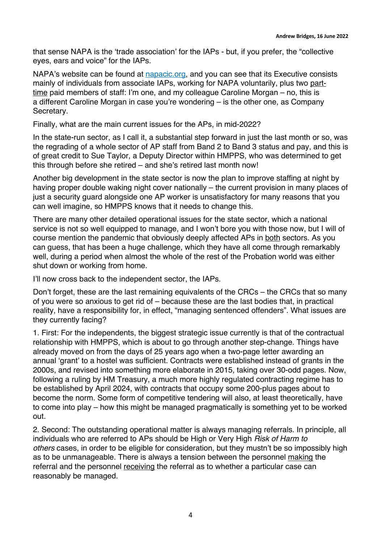that sense NAPA is the 'trade association' for the IAPs - but, if you prefer, the "collective eyes, ears and voice" for the IAPs.

NAPA's website can be found at napacic.org, and you can see that its Executive consists mainly of individuals from associate IAPs, working for NAPA voluntarily, plus two parttime paid members of staff: I'm one, and my colleague Caroline Morgan – no, this is a different Caroline Morgan in case you're wondering – is the other one, as Company Secretary.

Finally, what are the main current issues for the APs, in mid-2022?

In the state-run sector, as I call it, a substantial step forward in just the last month or so, was the regrading of a whole sector of AP staff from Band 2 to Band 3 status and pay, and this is of great credit to Sue Taylor, a Deputy Director within HMPPS, who was determined to get this through before she retired – and she's retired last month now!

Another big development in the state sector is now the plan to improve staffing at night by having proper double waking night cover nationally – the current provision in many places of just a security quard alongside one AP worker is unsatisfactory for many reasons that you can well imagine, so HMPPS knows that it needs to change this.

There are many other detailed operational issues for the state sector, which a national service is not so well equipped to manage, and I won't bore you with those now, but I will of course mention the pandemic that obviously deeply affected APs in both sectors. As you can guess, that has been a huge challenge, which they have all come through remarkably well, during a period when almost the whole of the rest of the Probation world was either shut down or working from home.

I'll now cross back to the independent sector, the IAPs.

Don't forget, these are the last remaining equivalents of the CRCs – the CRCs that so many of you were so anxious to get rid of – because these are the last bodies that, in practical reality, have a responsibility for, in effect, "managing sentenced offenders". What issues are they currently facing?

1. First: For the independents, the biggest strategic issue currently is that of the contractual relationship with HMPPS, which is about to go through another step-change. Things have already moved on from the days of 25 years ago when a two-page letter awarding an annual 'grant' to a hostel was sufficient. Contracts were established instead of grants in the 2000s, and revised into something more elaborate in 2015, taking over 30-odd pages. Now, following a ruling by HM Treasury, a much more highly regulated contracting regime has to be established by April 2024, with contracts that occupy some 200-plus pages about to become the norm. Some form of competitive tendering will also, at least theoretically, have to come into play – how this might be managed pragmatically is something yet to be worked out.

2. Second: The outstanding operational matter is always managing referrals. In principle, all individuals who are referred to APs should be High or Very High *Risk of Harm to others* cases, in order to be eligible for consideration, but they mustn't be so impossibly high as to be unmanageable. There is always a tension between the personnel making the referral and the personnel receiving the referral as to whether a particular case can reasonably be managed.